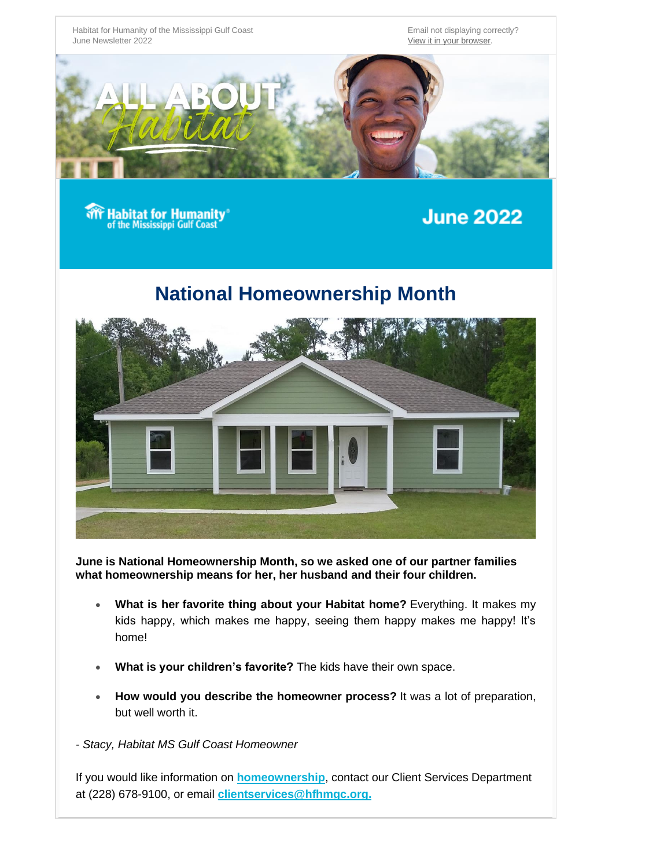

## **National Homeownership Month**



**June is National Homeownership Month, so we asked one of our partner families what homeownership means for her, her husband and their four children.**

- **What is her favorite thing about your Habitat home?** Everything. It makes my kids happy, which makes me happy, seeing them happy makes me happy! It's home!
- **What is your children's favorite?** The kids have their own space.
- **How would you describe the homeowner process?** It was a lot of preparation, but well worth it.
- *- Stacy, Habitat MS Gulf Coast Homeowner*

If you would like information on **[homeownership](https://hfhmgc.com/homeownership/)**, contact our Client Services Department at (228) 678-9100, or email **[clientservices@hfhmgc.org.](mailto:chunt@hfhmgc.org?subject=Homeownership)**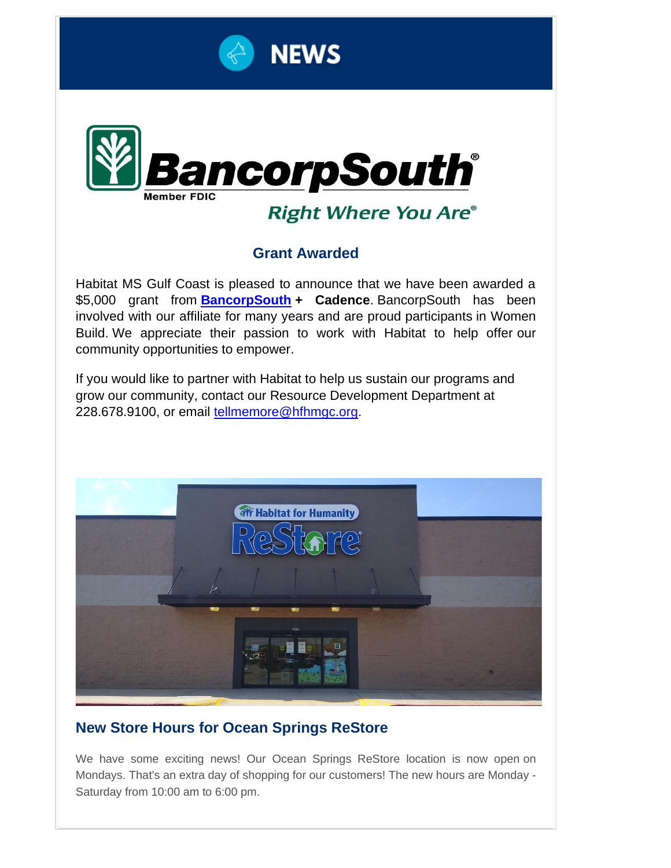



## **Right Where You Are®**

#### **Grant Awarded**

Habitat MS Gulf Coast is pleased to announce that we have been awarded a \$5,000 grant from **[BancorpSouth](https://www.bancorpsouth.com/) + Cadence**. BancorpSouth has been involved with our affiliate for many years and are proud participants in Women Build. We appreciate their passion to work with Habitat to help offer our community opportunities to empower.

If you would like to partner with Habitat to help us sustain our programs and grow our community, contact our Resource Development Department at 228.678.9100, or email [tellmemore@hfhmgc.org.](mailto:tellmemore@hfhmgc.org?subject=Community%20Partner)



#### **New Store Hours for Ocean Springs ReStore**

We have some exciting news! Our Ocean Springs ReStore location is now open on Mondays. That's an extra day of shopping for our customers! The new hours are Monday - Saturday from 10:00 am to 6:00 pm.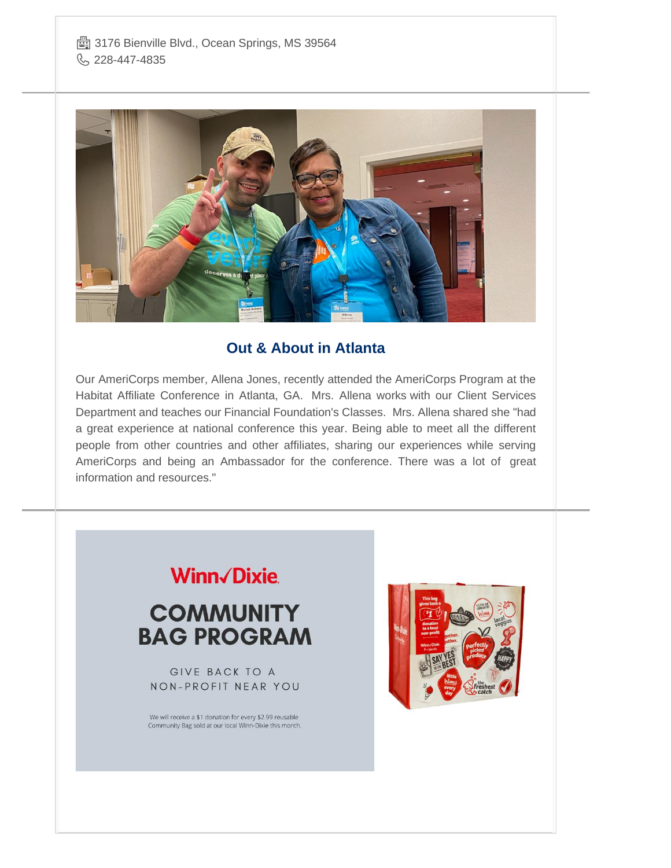

#### **Out & About in Atlanta**

Our AmeriCorps member, Allena Jones, recently attended the AmeriCorps Program at the Habitat Affiliate Conference in Atlanta, GA. Mrs. Allena works with our Client Services Department and teaches our Financial Foundation's Classes. Mrs. Allena shared she "had a great experience at national conference this year. Being able to meet all the different people from other countries and other affiliates, sharing our experiences while serving AmeriCorps and being an Ambassador for the conference. There was a lot of great information and resources."

# Winn/Dixie.

## **COMMUNITY BAG PROGRAM**

GIVE BACK TO A NON-PROFIT NEAR YOU

We will receive a \$1 donation for every \$2.99 reusable Community Bag sold at our local Winn-Dixie this month.

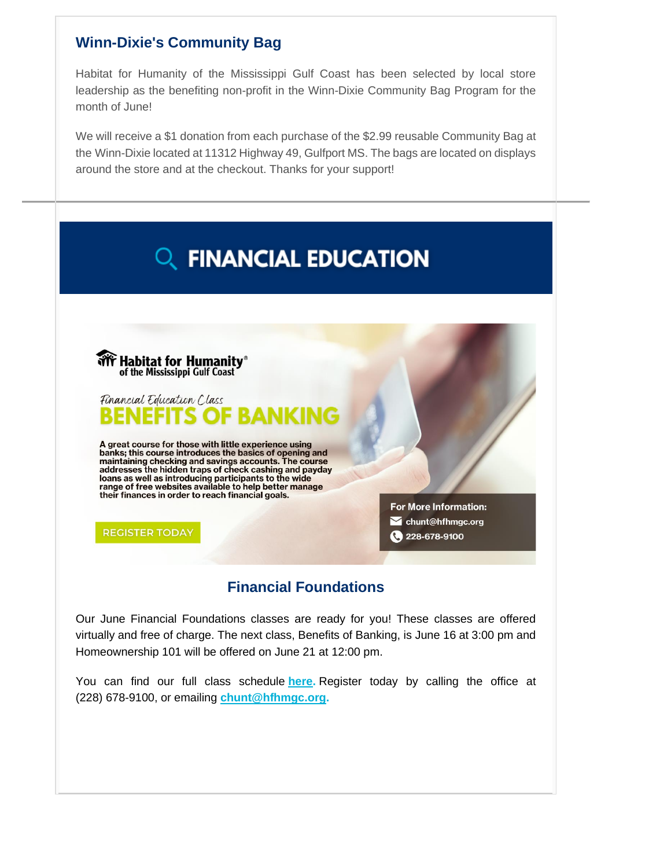#### **Winn-Dixie's Community Bag**

Habitat for Humanity of the Mississippi Gulf Coast has been selected by local store leadership as the benefiting non-profit in the Winn-Dixie Community Bag Program for the month of June!

We will receive a \$1 donation from each purchase of the \$2.99 reusable Community Bag at the Winn-Dixie located at 11312 Highway 49, Gulfport MS. The bags are located on displays around the store and at the checkout. Thanks for your support!



#### **Financial Foundations**

Our June Financial Foundations classes are ready for you! These classes are offered virtually and free of charge. The next class, Benefits of Banking, is June 16 at 3:00 pm and Homeownership 101 will be offered on June 21 at 12:00 pm.

You can find our full class schedule **[here.](https://hfhmgc.com/wp-content/uploads/2022/02/MGC-Classes-Handout-Updated-FEB-22.pdf)** Register today by calling the office at (228) 678-9100, or emailing **[chunt@hfhmgc.org.](mailto:chunt@hfhmgc.org?subject=Financial%20Foundations)**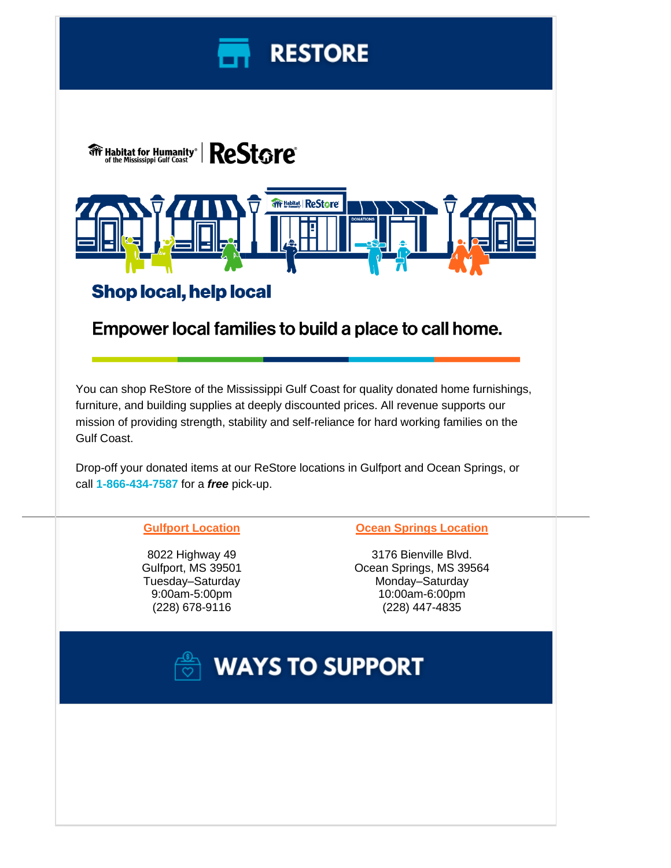



#### **Gulfport Location**

8022 Highway 49 Gulfport, MS 39501 Tuesday–Saturday 9:00am-5:00pm (228) 678-9116

#### **Ocean Springs Location**

3176 Bienville Blvd. Ocean Springs, MS 39564 Monday–Saturday 10:00am-6:00pm (228) 447-4835

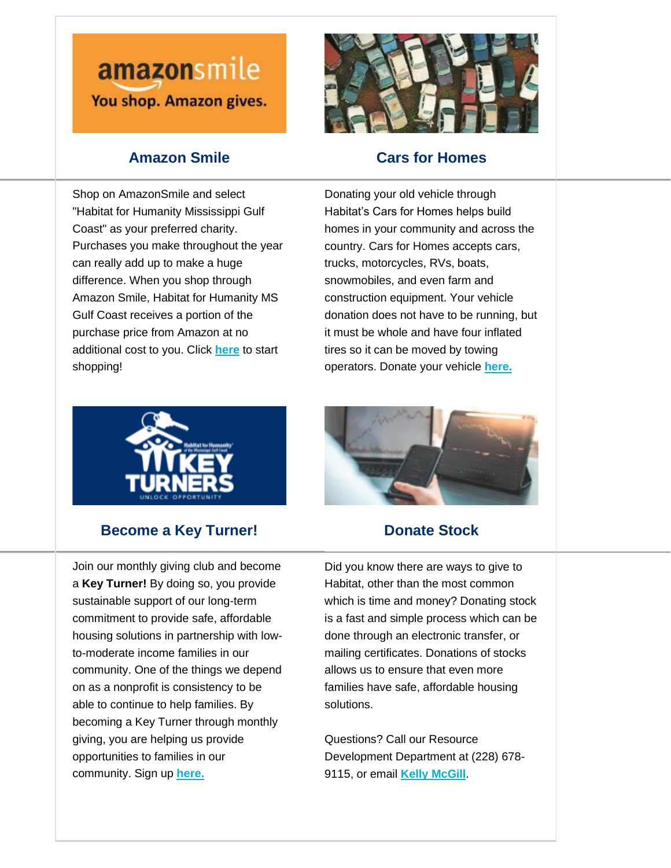# amazonsmile You shop. Amazon gives.

### **Amazon Smile**



#### **Cars for Homes**

Shop on AmazonSmile and select "Habitat for Humanity Mississippi Gulf Coast" as your preferred charity. Purchases you make throughout the year can really add up to make a huge difference. When you shop through Amazon Smile, Habitat for Humanity MS Gulf Coast receives a portion of the purchase price from Amazon at no additional cost to you. Click **[here](https://smile.amazon.com/ch/20-8133916)** to start shopping!

Donating your old vehicle through Habitat's Cars for Homes helps build homes in your community and across the country. Cars for Homes accepts cars, trucks, motorcycles, RVs, boats, snowmobiles, and even farm and construction equipment. Your vehicle donation does not have to be running, but it must be whole and have four inflated tires so it can be moved by towing operators. Donate your vehicle **[here.](https://www.cardonationwizard.com/habitat-for-humanity/donate/donate-a-car-build-a-home-in-your-local-community.html?fbclid=IwAR2Kwysvr7nTnl1mEtKRHxHKQGDH5FuBy17ANmn2XwLDjjXxWB_Lsw6ddIM)**



#### **Become a Key Turner!**

Join our monthly giving club and become a **Key Turner!** By doing so, you provide sustainable support of our long-term commitment to provide safe, affordable housing solutions in partnership with lowto-moderate income families in our community. One of the things we depend on as a nonprofit is consistency to be able to continue to help families. By becoming a Key Turner through monthly giving, you are helping us provide opportunities to families in our community. Sign up **[here.](https://www.hfhmgc.org/keyturner)**



#### **Donate Stock**

Did you know there are ways to give to Habitat, other than the most common which is time and money? Donating stock is a fast and simple process which can be done through an electronic transfer, or mailing certificates. Donations of stocks allows us to ensure that even more families have safe, affordable housing solutions.

Questions? Call our Resource Development Department at (228) 678- 9115, or email **[Kelly McGill](mailto:kmcgill@hfhgmc.org?subject=Stock%20Donation)**.